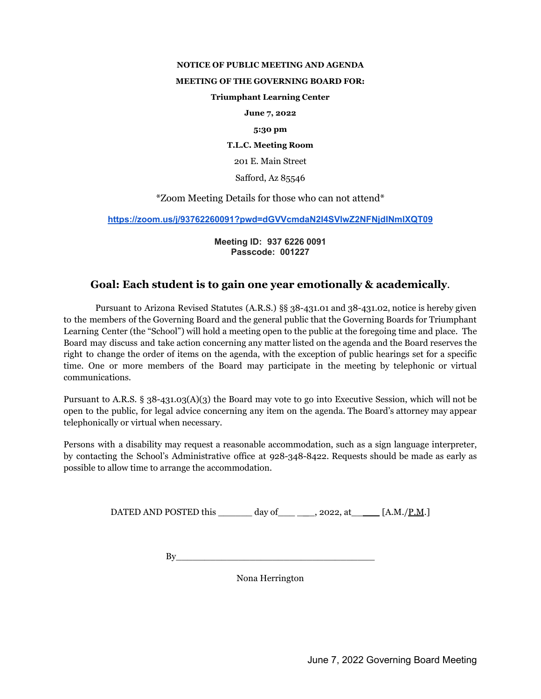## **NOTICE OF PUBLIC MEETING AND AGENDA**

## **MEETING OF THE GOVERNING BOARD FOR:**

## **Triumphant Learning Center**

**June 7, 2022**

#### **5:30 pm**

**T.L.C. Meeting Room**

201 E. Main Street

Safford, Az 85546

\*Zoom Meeting Details for those who can not attend\*

**<https://zoom.us/j/93762260091?pwd=dGVVcmdaN2I4SVlwZ2NFNjdINmlXQT09>**

**Meeting ID: 937 6226 0091 Passcode: 001227**

# **Goal: Each student is to gain one year emotionally & academically**.

Pursuant to Arizona Revised Statutes (A.R.S.) §§ 38-431.01 and 38-431.02, notice is hereby given to the members of the Governing Board and the general public that the Governing Boards for Triumphant Learning Center (the "School") will hold a meeting open to the public at the foregoing time and place. The Board may discuss and take action concerning any matter listed on the agenda and the Board reserves the right to change the order of items on the agenda, with the exception of public hearings set for a specific time. One or more members of the Board may participate in the meeting by telephonic or virtual communications.

Pursuant to A.R.S. § 38-431.03(A)(3) the Board may vote to go into Executive Session, which will not be open to the public, for legal advice concerning any item on the agenda. The Board's attorney may appear telephonically or virtual when necessary.

Persons with a disability may request a reasonable accommodation, such as a sign language interpreter, by contacting the School's Administrative office at 928-348-8422. Requests should be made as early as possible to allow time to arrange the accommodation.

DATED AND POSTED this  $\frac{day \text{ of}}{y}$ , 2022, at  $\frac{[A.M]/P.M.]}{y}$ 

 $\mathop{\rm By}\nolimits$ 

Nona Herrington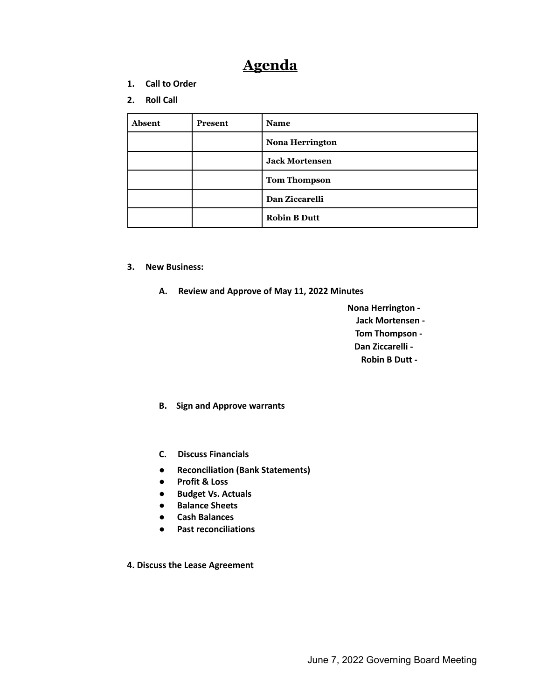# **Agenda**

- **1. Call to Order**
- **2. Roll Call**

| Absent | Present | <b>Name</b>            |
|--------|---------|------------------------|
|        |         | <b>Nona Herrington</b> |
|        |         | <b>Jack Mortensen</b>  |
|        |         | <b>Tom Thompson</b>    |
|        |         | Dan Ziccarelli         |
|        |         | <b>Robin B Dutt</b>    |

- **3. New Business:**
	- **A. Review and Approve of May 11, 2022 Minutes**
		- **Nona Herrington - Jack Mortensen - Tom Thompson - Dan Ziccarelli - Robin B Dutt -**
	- **B. Sign and Approve warrants**
	- **C. Discuss Financials**
	- **Reconciliation (Bank Statements)**
	- **Profit & Loss**
	- **Budget Vs. Actuals**
	- **Balance Sheets**
	- **Cash Balances**
	- **Past reconciliations**
- **4. Discuss the Lease Agreement**